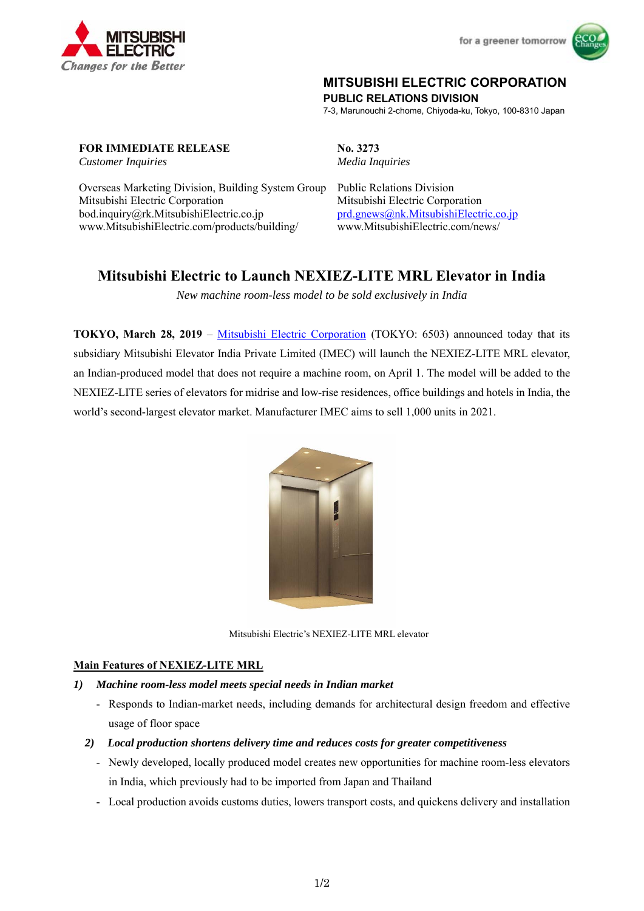



# **MITSUBISHI ELECTRIC CORPORATION**

**PUBLIC RELATIONS DIVISION** 

7-3, Marunouchi 2-chome, Chiyoda-ku, Tokyo, 100-8310 Japan

**FOR IMMEDIATE RELEASE No. 3273** *Customer Inquiries Media Inquiries* 

Overseas Marketing Division, Building System Group Public Relations Division Mitsubishi Electric Corporation Mitsubishi Electric Corporation bod.inquiry@rk.MitsubishiElectric.co.jp prd.gnews@nk.MitsubishiElectric.co.jp www.MitsubishiElectric.com/products/building/ www.MitsubishiElectric.com/news/

# **Mitsubishi Electric to Launch NEXIEZ-LITE MRL Elevator in India**

*New machine room-less model to be sold exclusively in India* 

**TOKYO, March 28, 2019** – Mitsubishi Electric Corporation (TOKYO: 6503) announced today that its subsidiary Mitsubishi Elevator India Private Limited (IMEC) will launch the NEXIEZ-LITE MRL elevator, an Indian-produced model that does not require a machine room, on April 1. The model will be added to the NEXIEZ-LITE series of elevators for midrise and low-rise residences, office buildings and hotels in India, the world's second-largest elevator market. Manufacturer IMEC aims to sell 1,000 units in 2021.



Mitsubishi Electric's NEXIEZ-LITE MRL elevator

# **Main Features of NEXIEZ-LITE MRL**

- *1) Machine room-less model meets special needs in Indian market*
	- Responds to Indian-market needs, including demands for architectural design freedom and effective usage of floor space
	- *2) Local production shortens delivery time and reduces costs for greater competitiveness* 
		- Newly developed, locally produced model creates new opportunities for machine room-less elevators in India, which previously had to be imported from Japan and Thailand
		- Local production avoids customs duties, lowers transport costs, and quickens delivery and installation